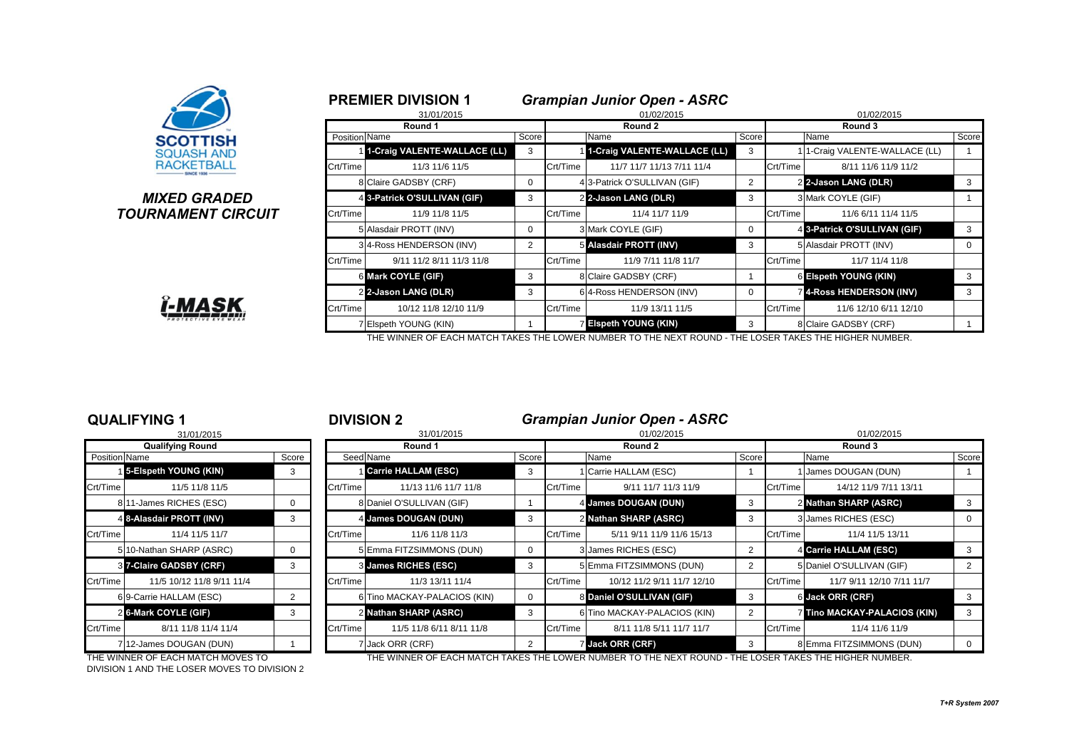

### **MIXED GRADED TOURNAMENT CIRCUIT**



|               | <b>PREMIER DIVISION 1</b>     |                |          | <b>Grampian Junior Open - ASRC</b> |            |          |                                |          |  |  |  |
|---------------|-------------------------------|----------------|----------|------------------------------------|------------|----------|--------------------------------|----------|--|--|--|
|               | 31/01/2015                    |                |          | 01/02/2015                         | 01/02/2015 |          |                                |          |  |  |  |
|               | Round 1                       |                |          | Round 2                            |            | Round 3  |                                |          |  |  |  |
| Position Name |                               | Score          |          | Name                               | Score      |          | Name                           | Score    |  |  |  |
|               | 11-Craig VALENTE-WALLACE (LL) | 3              |          | 1 1-Craig VALENTE-WALLACE (LL)     | 3          |          | 1 1-Craig VALENTE-WALLACE (LL) |          |  |  |  |
| Crt/Time      | 11/3 11/6 11/5                |                | Crt/Time | 11/7 11/7 11/13 7/11 11/4          |            | Crt/Time | 8/11 11/6 11/9 11/2            |          |  |  |  |
|               | 8 Claire GADSBY (CRF)         | 0              |          | 4 3-Patrick O'SULLIVAN (GIF)       | 2          |          | 22-Jason LANG (DLR)            | 3        |  |  |  |
|               | 4 3-Patrick O'SULLIVAN (GIF)  | 3              |          | 2 2-Jason LANG (DLR)               | 3          |          | 3 Mark COYLE (GIF)             |          |  |  |  |
| Crt/Time      | 11/9 11/8 11/5                |                | Crt/Time | 11/4 11/7 11/9                     |            | Crt/Time | 11/6 6/11 11/4 11/5            |          |  |  |  |
|               | 5 Alasdair PROTT (INV)        | $\Omega$       |          | 3 Mark COYLE (GIF)                 | 0          |          | 4 3-Patrick O'SULLIVAN (GIF)   | 3        |  |  |  |
|               | 34-Ross HENDERSON (INV)       | $\overline{2}$ |          | 5 Alasdair PROTT (INV)             | 3          |          | 5 Alasdair PROTT (INV)         | $\Omega$ |  |  |  |
| Crt/Time      | 9/11 11/2 8/11 11/3 11/8      |                | Crt/Time | 11/9 7/11 11/8 11/7                |            | Crt/Time | 11/7 11/4 11/8                 |          |  |  |  |
|               | 6 Mark COYLE (GIF)            | 3              |          | 8 Claire GADSBY (CRF)              |            |          | 6 Elspeth YOUNG (KIN)          | 3        |  |  |  |
|               | 2 2-Jason LANG (DLR)          | 3              |          | 64-Ross HENDERSON (INV)            | 0          |          | <b>4-Ross HENDERSON (INV)</b>  | 3        |  |  |  |
| Crt/Time      | 10/12 11/8 12/10 11/9         |                | Crt/Time | 11/9 13/11 11/5                    |            | Crt/Time | 11/6 12/10 6/11 12/10          |          |  |  |  |
|               | 7 Elspeth YOUNG (KIN)         |                |          | 7 Elspeth YOUNG (KIN)              | 3          |          | 8 Claire GADSBY (CRF)          |          |  |  |  |

THE WINNER OF EACH MATCH TAKES THE LOWER NUMBER TO THE NEXT ROUND - THE LOSER TAKES THE HIGHER NUMBER.

|  | DIVISION 2 |  |  |
|--|------------|--|--|

### **QUALIFYING 1** <sup>1</sup> **DIVISION 2** *Grampian Junior Open - ASRC*

|               | 31/01/2015                |          | 31/01/2015 |                              |       |          | 01/02/2015                   |                | 01/02/2015 |                              |                |  |
|---------------|---------------------------|----------|------------|------------------------------|-------|----------|------------------------------|----------------|------------|------------------------------|----------------|--|
|               | <b>Qualifying Round</b>   |          | Round 1    |                              |       |          | Round 2                      |                |            | Round 3                      |                |  |
| Position Name |                           | Score    | Seed Name  |                              | Score |          | Name                         | Score          |            | Name                         | Score          |  |
|               | 15-Elspeth YOUNG (KIN)    | 3        |            | <b>Carrie HALLAM (ESC)</b>   |       |          | Carrie HALLAM (ESC)          |                |            | James DOUGAN (DUN)           |                |  |
| Crt/Time      | 11/5 11/8 11/5            |          | Crt/Time   | 11/13 11/6 11/7 11/8         |       | Crt/Time | 9/11 11/7 11/3 11/9          |                | Crt/Time   | 14/12 11/9 7/11 13/11        |                |  |
|               | 811-James RICHES (ESC)    | 0        |            | 8 Daniel O'SULLIVAN (GIF)    |       |          | 4 James DOUGAN (DUN)         | 3              |            | 2 Nathan SHARP (ASRC)        | 3              |  |
|               | 4 8-Alasdair PROTT (INV)  | 3        |            | 4 James DOUGAN (DUN)         |       |          | 2 Nathan SHARP (ASRC)        | 3              |            | 3 James RICHES (ESC)         | 0              |  |
| Crt/Time      | 11/4 11/5 11/7            |          | Crt/Time   | 11/6 11/8 11/3               |       | Crt/Time | 5/11 9/11 11/9 11/6 15/13    |                | Crt/Time   | 11/4 11/5 13/11              |                |  |
|               | 510-Nathan SHARP (ASRC)   | $\Omega$ |            | 5 Emma FITZSIMMONS (DUN)     |       |          | 3 James RICHES (ESC)         | 2              |            | 4 Carrie HALLAM (ESC)        | 3              |  |
|               | 37-Claire GADSBY (CRF)    | 3        |            | 3 James RICHES (ESC)         |       |          | 5 Emma FITZSIMMONS (DUN)     | $\overline{2}$ |            | 5 Daniel O'SULLIVAN (GIF)    | $\overline{2}$ |  |
| Crt/Time      | 11/5 10/12 11/8 9/11 11/4 |          | Crt/Time   | 11/3 13/11 11/4              |       | Crt/Time | 10/12 11/2 9/11 11/7 12/10   |                | Crt/Time   | 11/7 9/11 12/10 7/11 11/7    |                |  |
|               | 69-Carrie HALLAM (ESC)    | 2        |            | 6 Tino MACKAY-PALACIOS (KIN) |       |          | 8 Daniel O'SULLIVAN (GIF)    | 3              |            | 6 Jack ORR (CRF)             | 3              |  |
|               | 2 6-Mark COYLE (GIF)      | 3        |            | 2 Nathan SHARP (ASRC)        |       |          | 6 Tino MACKAY-PALACIOS (KIN) |                |            | 7 Tino MACKAY-PALACIOS (KIN) | 3              |  |
| Crt/Time      | 8/11 11/8 11/4 11/4       |          | Crt/Time   | 11/5 11/8 6/11 8/11 11/8     |       | Crt/Time | 8/11 11/8 5/11 11/7 11/7     |                | Crt/Time   | 11/4 11/6 11/9               |                |  |
|               | 712-James DOUGAN (DUN)    |          |            | 7 Jack ORR (CRF)             |       |          | Jack ORR (CRF)               |                |            | 8 Emma FITZSIMMONS (DUN)     | $\mathbf{0}$   |  |

7 12-James DOUGAN (DUN)

THE WINNER OF EACH MATCH MOVES TO THE WINNER OF EACH MATCH TAKES THE LOWER NUMBER TO THE NEXT ROUND - THE LOSER TAKES THE HIGHER NUMBER.

DIVISION 1 AND THE LOSER MOVES TO DIVISION 2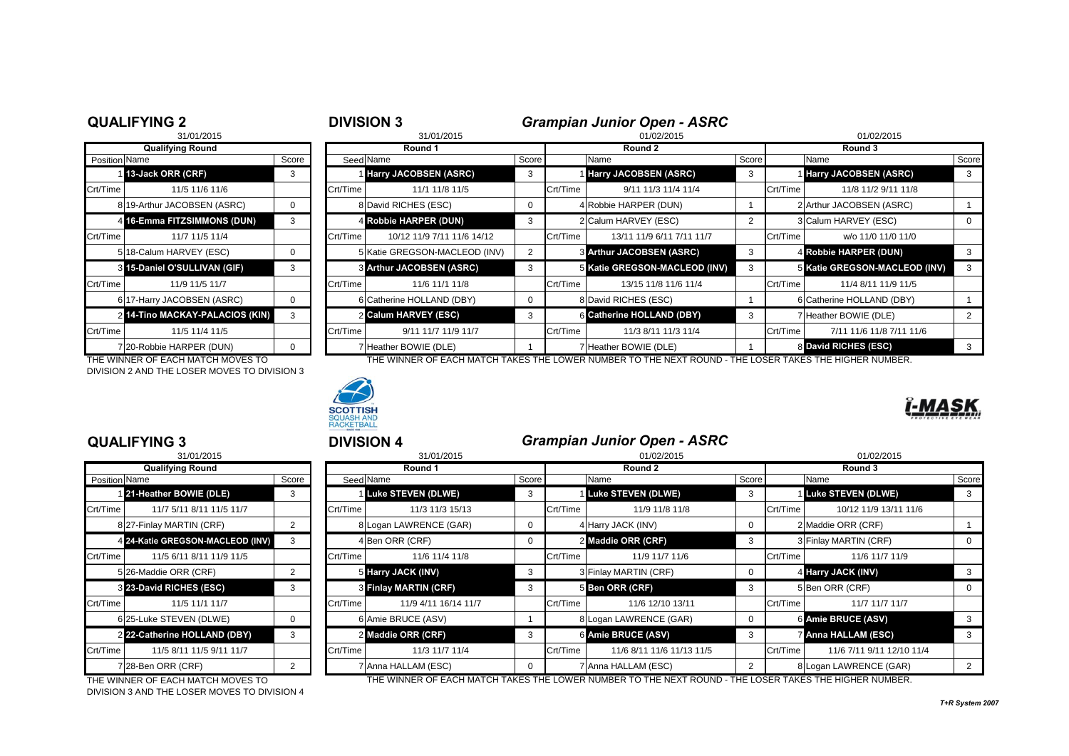|                      | <b>QUALIFYING 2</b>             |       | <b>DIVISION 3</b> |                                 |             |            | <b>Grampian Junior Open - ASRC</b> |       |          |                               |       |  |
|----------------------|---------------------------------|-------|-------------------|---------------------------------|-------------|------------|------------------------------------|-------|----------|-------------------------------|-------|--|
|                      | 31/01/2015                      |       | 31/01/2015        |                                 |             | 01/02/2015 |                                    |       |          | 01/02/2015                    |       |  |
|                      | <b>Qualifying Round</b>         |       | Round 1           |                                 |             | Round 2    |                                    |       |          | Round 3                       |       |  |
| <b>Position Name</b> |                                 | Score |                   | Seed Name                       | Score       |            | Name                               | Score |          | Name                          | Score |  |
|                      | 13-Jack ORR (CRF)               | 3     |                   | <b>Harry JACOBSEN (ASRC)</b>    | 3           |            | <b>Harry JACOBSEN (ASRC)</b>       | 3     |          | <b>Harry JACOBSEN (ASRC)</b>  |       |  |
| Crt/Time             | 11/5 11/6 11/6                  |       | Crt/Time          | 11/1 11/8 11/5                  |             | Crt/Time   | 9/11 11/3 11/4 11/4                |       | Crt/Time | 11/8 11/2 9/11 11/8           |       |  |
|                      | 8 19-Arthur JACOBSEN (ASRC)     | 0     |                   | 8 David RICHES (ESC)            | $\mathbf 0$ |            | 4 Robbie HARPER (DUN)              |       |          | 2 Arthur JACOBSEN (ASRC)      |       |  |
|                      | 4 16-Emma FITZSIMMONS (DUN)     | 3     |                   | 4 Robbie HARPER (DUN)           | 3           |            | 2 Calum HARVEY (ESC)               |       |          | 3 Calum HARVEY (ESC)          |       |  |
| Crt/Time             | 11/7 11/5 11/4                  |       | Crt/Time          | 10/12 11/9 7/11 11/6 14/12      |             | Crt/Time   | 13/11 11/9 6/11 7/11 11/7          |       | Crt/Time | w/o 11/0 11/0 11/0            |       |  |
|                      | 518-Calum HARVEY (ESC)          | 0     |                   | 5 Katie GREGSON-MACLEOD (INV)   | 2           |            | <b>8 Arthur JACOBSEN (ASRC)</b>    | 3     |          | 4 Robbie HARPER (DUN)         |       |  |
|                      | 3 15-Daniel O'SULLIVAN (GIF)    | 3     |                   | <b>8 Arthur JACOBSEN (ASRC)</b> | 3           |            | 5 Katie GREGSON-MACLEOD (INV)      | 3     |          | 5 Katie GREGSON-MACLEOD (INV) | 3     |  |
| Crt/Time             | 11/9 11/5 11/7                  |       | Crt/Time          | 11/6 11/1 11/8                  |             | Crt/Time   | 13/15 11/8 11/6 11/4               |       | Crt/Time | 11/4 8/11 11/9 11/5           |       |  |
|                      | 6 17-Harry JACOBSEN (ASRC)      | 0     |                   | 6 Catherine HOLLAND (DBY)       | $\mathbf 0$ |            | 8 David RICHES (ESC)               |       |          | 6 Catherine HOLLAND (DBY)     |       |  |
|                      | 2 14-Tino MACKAY-PALACIOS (KIN) | 3     |                   | 2 Calum HARVEY (ESC)            | 3           |            | 6 Catherine HOLLAND (DBY)          | 3     |          | 7 Heather BOWIE (DLE)         |       |  |
| Crt/Time             | 11/5 11/4 11/5                  |       | Crt/Time          | 9/11 11/7 11/9 11/7             |             | Crt/Time   | 11/3 8/11 11/3 11/4                |       | Crt/Time | 7/11 11/6 11/8 7/11 11/6      |       |  |
|                      | 7 20-Robbie HARPER (DUN)        | 0     |                   | 7 Heather BOWIE (DLE)           |             |            | Heather BOWIE (DLE)                |       |          | 8 David RICHES (ESC)          |       |  |

THE WINNER OF EACH MATCH MOVES TO THE WINNER OF EACH MATCH TAKES THE LOWER NUMBER TO THE NEXT ROUND - THE LOSER TAKES THE HIGHER NUMBER. DIVISION 2 AND THE LOSER MOVES TO DIVISION 3



**TISH** SQUASH AND<br>RACKETBALL

|                      | 31/01/2015                       |                |
|----------------------|----------------------------------|----------------|
|                      | <b>Qualifying Round</b>          |                |
| <b>Position Name</b> |                                  | Score          |
|                      | 121-Heather BOWIE (DLE)          | 3              |
| Crt/Time             | 11/7 5/11 8/11 11/5 11/7         |                |
|                      | 8 27-Finlay MARTIN (CRF)         | 2              |
|                      | 4 24-Katie GREGSON-MACLEOD (INV) | 3              |
| Crt/Time             | 11/5 6/11 8/11 11/9 11/5         |                |
|                      | 5 26-Maddie ORR (CRF)            | 2              |
|                      | 8 23-David RICHES (ESC)          | 3              |
| Crt/Time             | 11/5 11/1 11/7                   |                |
|                      | 625-Luke STEVEN (DLWE)           | 0              |
|                      | 2 22-Catherine HOLLAND (DBY)     | 3              |
| Crt/Time             | 11/5 8/11 11/5 9/11 11/7         |                |
|                      | 728-Ben ORR (CRF)                | $\overline{2}$ |

DIVISION 3 AND THE LOSER MOVES TO DIVISION 4

# **QUALIFYING 3** <sup>3</sup> **DIVISION 4** *Grampian Junior Open - ASRC*

| 31/01/2015    |                                  |       | 31/01/2015 |                             |                | 01/02/2015 |                           |              |          | 01/02/2015                |          |  |  |
|---------------|----------------------------------|-------|------------|-----------------------------|----------------|------------|---------------------------|--------------|----------|---------------------------|----------|--|--|
|               | <b>Qualifying Round</b>          |       | Round 1    |                             |                |            | Round 2                   |              |          | Round 3                   |          |  |  |
| Position Name |                                  | Score |            | Seed Name                   | Score          |            | Name                      | Score        |          | Name                      | Score    |  |  |
|               | 121-Heather BOWIE (DLE)          | 3     |            | <b>1 Luke STEVEN (DLWE)</b> | 3              |            | <b>Luke STEVEN (DLWE)</b> | 3            |          | <b>Luke STEVEN (DLWE)</b> | 3        |  |  |
| Crt/Time      | 11/7 5/11 8/11 11/5 11/7         |       | Crt/Time   | 11/3 11/3 15/13             |                | Crt/Time   | 11/9 11/8 11/8            |              | Crt/Time | 10/12 11/9 13/11 11/6     |          |  |  |
|               | 827-Finlay MARTIN (CRF)          | 2     |            | 8 Logan LAWRENCE (GAR)      | $\overline{0}$ |            | 4 Harry JACK (INV)        | 0            |          | 2 Maddie ORR (CRF)        |          |  |  |
|               | 4 24-Katie GREGSON-MACLEOD (INV) | 3     |            | 4 Ben ORR (CRF)             | $\Omega$       |            | 2 Maddie ORR (CRF)        | 3            |          | 3 Finlay MARTIN (CRF)     |          |  |  |
| Crt/Time      | 11/5 6/11 8/11 11/9 11/5         |       | Crt/Time   | 11/6 11/4 11/8              |                | Crt/Time   | 11/9 11/7 11/6            |              | Crt/Time | 11/6 11/7 11/9            |          |  |  |
|               | 5 26-Maddie ORR (CRF)            | 2     |            | 5 Harry JACK (INV)          | 3              |            | 3 Finlay MARTIN (CRF)     | 0            |          | 4 Harry JACK (INV)        |          |  |  |
|               | 3 23-David RICHES (ESC)          | 3     |            | 3 Finlay MARTIN (CRF)       | 3              |            | 5 Ben ORR (CRF)           | 3            |          | 5 Ben ORR (CRF)           | $\Omega$ |  |  |
| Crt/Time      | 11/5 11/1 11/7                   |       | Crt/Time   | 11/9 4/11 16/14 11/7        |                | Crt/Time   | 11/6 12/10 13/11          |              | Crt/Time | 11/7 11/7 11/7            |          |  |  |
|               | 625-Luke STEVEN (DLWE)           | 0     |            | 6 Amie BRUCE (ASV)          |                |            | 8 Logan LAWRENCE (GAR)    | $\mathbf{0}$ |          | 6 Amie BRUCE (ASV)        |          |  |  |
|               | 2 22-Catherine HOLLAND (DBY)     | 3     |            | 2 Maddie ORR (CRF)          | 3              |            | 6 Amie BRUCE (ASV)        | 3            |          | 7 Anna HALLAM (ESC)       |          |  |  |
| Crt/Time      | 11/5 8/11 11/5 9/11 11/7         |       | Crt/Time   | 11/3 11/7 11/4              |                | Crt/Time   | 11/6 8/11 11/6 11/13 11/5 |              | Crt/Time | 11/6 7/11 9/11 12/10 11/4 |          |  |  |
|               | 728-Ben ORR (CRF)                | 2     |            | 7 Anna HALLAM (ESC)         | $\Omega$       |            | 7 Anna HALLAM (ESC)       | 2            |          | 8 Logan LAWRENCE (GAR)    | 2        |  |  |

THE WINNER OF EACH MATCH MOVES TO THE WINNER OF EACH MATCH TAKES THE LOWER NUMBER TO THE NEXT ROUND - THE LOSER TAKES THE HIGHER NUMBER.